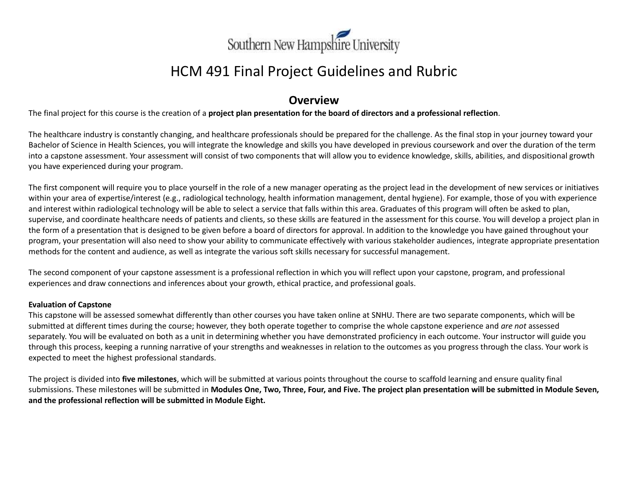

# HCM 491 Final Project Guidelines and Rubric

# **Overview**

The final project for this course is the creation of a **project plan presentation for the board of directors and a professional reflection**.

The healthcare industry is constantly changing, and healthcare professionals should be prepared for the challenge. As the final stop in your journey toward your Bachelor of Science in Health Sciences, you will integrate the knowledge and skills you have developed in previous coursework and over the duration of the term into a capstone assessment. Your assessment will consist of two components that will allow you to evidence knowledge, skills, abilities, and dispositional growth you have experienced during your program.

The first component will require you to place yourself in the role of a new manager operating as the project lead in the development of new services or initiatives within your area of expertise/interest (e.g., radiological technology, health information management, dental hygiene). For example, those of you with experience and interest within radiological technology will be able to select a service that falls within this area. Graduates of this program will often be asked to plan, supervise, and coordinate healthcare needs of patients and clients, so these skills are featured in the assessment for this course. You will develop a project plan in the form of a presentation that is designed to be given before a board of directors for approval. In addition to the knowledge you have gained throughout your program, your presentation will also need to show your ability to communicate effectively with various stakeholder audiences, integrate appropriate presentation methods for the content and audience, as well as integrate the various soft skills necessary for successful management.

The second component of your capstone assessment is a professional reflection in which you will reflect upon your capstone, program, and professional experiences and draw connections and inferences about your growth, ethical practice, and professional goals.

#### **Evaluation of Capstone**

This capstone will be assessed somewhat differently than other courses you have taken online at SNHU. There are two separate components, which will be submitted at different times during the course; however, they both operate together to comprise the whole capstone experience and *are not* assessed separately. You will be evaluated on both as a unit in determining whether you have demonstrated proficiency in each outcome. Your instructor will guide you through this process, keeping a running narrative of your strengths and weaknesses in relation to the outcomes as you progress through the class. Your work is expected to meet the highest professional standards.

The project is divided into **five milestones**, which will be submitted at various points throughout the course to scaffold learning and ensure quality final submissions. These milestones will be submitted in **Modules One, Two, Three, Four, and Five. The project plan presentation will be submitted in Module Seven, and the professional reflection will be submitted in Module Eight.**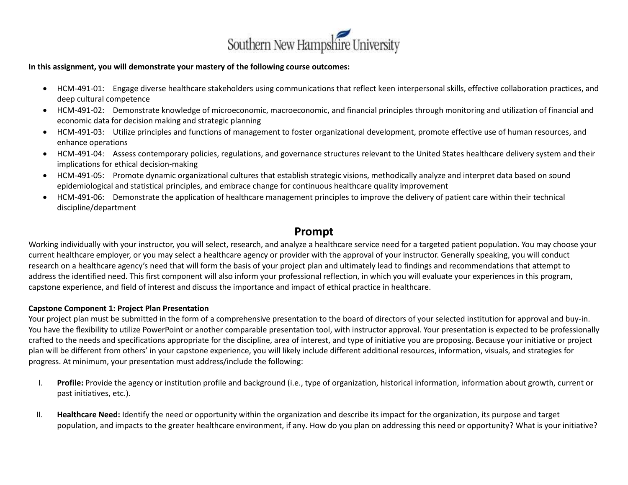

#### **In this assignment, you will demonstrate your mastery of the following course outcomes:**

- HCM-491-01: Engage diverse healthcare stakeholders using communications that reflect keen interpersonal skills, effective collaboration practices, and deep cultural competence
- HCM-491-02: Demonstrate knowledge of microeconomic, macroeconomic, and financial principles through monitoring and utilization of financial and economic data for decision making and strategic planning
- HCM-491-03: Utilize principles and functions of management to foster organizational development, promote effective use of human resources, and enhance operations
- HCM-491-04: Assess contemporary policies, regulations, and governance structures relevant to the United States healthcare delivery system and their implications for ethical decision-making
- HCM-491-05: Promote dynamic organizational cultures that establish strategic visions, methodically analyze and interpret data based on sound epidemiological and statistical principles, and embrace change for continuous healthcare quality improvement
- HCM-491-06: Demonstrate the application of healthcare management principles to improve the delivery of patient care within their technical discipline/department

## **Prompt**

Working individually with your instructor, you will select, research, and analyze a healthcare service need for a targeted patient population. You may choose your current healthcare employer, or you may select a healthcare agency or provider with the approval of your instructor. Generally speaking, you will conduct research on a healthcare agency's need that will form the basis of your project plan and ultimately lead to findings and recommendations that attempt to address the identified need. This first component will also inform your professional reflection, in which you will evaluate your experiences in this program, capstone experience, and field of interest and discuss the importance and impact of ethical practice in healthcare.

#### **Capstone Component 1: Project Plan Presentation**

Your project plan must be submitted in the form of a comprehensive presentation to the board of directors of your selected institution for approval and buy-in. You have the flexibility to utilize PowerPoint or another comparable presentation tool, with instructor approval. Your presentation is expected to be professionally crafted to the needs and specifications appropriate for the discipline, area of interest, and type of initiative you are proposing. Because your initiative or project plan will be different from others' in your capstone experience, you will likely include different additional resources, information, visuals, and strategies for progress. At minimum, your presentation must address/include the following:

- I. **Profile:** Provide the agency or institution profile and background (i.e., type of organization, historical information, information about growth, current or past initiatives, etc.).
- II. **Healthcare Need:** Identify the need or opportunity within the organization and describe its impact for the organization, its purpose and target population, and impacts to the greater healthcare environment, if any. How do you plan on addressing this need or opportunity? What is your initiative?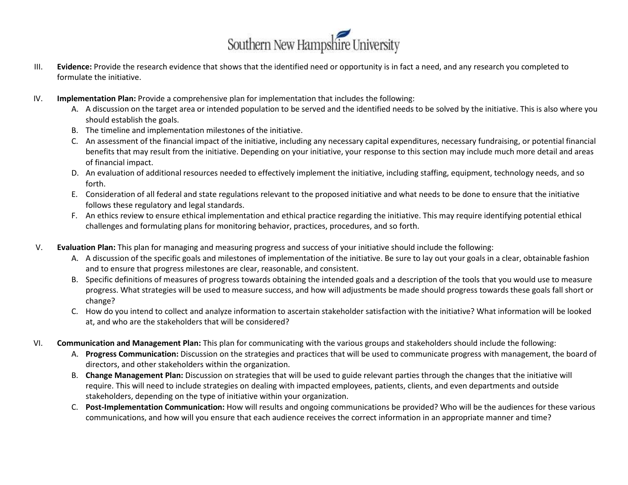

- III. **Evidence:** Provide the research evidence that shows that the identified need or opportunity is in fact a need, and any research you completed to formulate the initiative.
- IV. **Implementation Plan:** Provide a comprehensive plan for implementation that includes the following:
	- A. A discussion on the target area or intended population to be served and the identified needs to be solved by the initiative. This is also where you should establish the goals.
	- B. The timeline and implementation milestones of the initiative.
	- C. An assessment of the financial impact of the initiative, including any necessary capital expenditures, necessary fundraising, or potential financial benefits that may result from the initiative. Depending on your initiative, your response to this section may include much more detail and areas of financial impact.
	- D. An evaluation of additional resources needed to effectively implement the initiative, including staffing, equipment, technology needs, and so forth.
	- E. Consideration of all federal and state regulations relevant to the proposed initiative and what needs to be done to ensure that the initiative follows these regulatory and legal standards.
	- F. An ethics review to ensure ethical implementation and ethical practice regarding the initiative. This may require identifying potential ethical challenges and formulating plans for monitoring behavior, practices, procedures, and so forth.
- V. **Evaluation Plan:** This plan for managing and measuring progress and success of your initiative should include the following:
	- A. A discussion of the specific goals and milestones of implementation of the initiative. Be sure to lay out your goals in a clear, obtainable fashion and to ensure that progress milestones are clear, reasonable, and consistent.
	- B. Specific definitions of measures of progress towards obtaining the intended goals and a description of the tools that you would use to measure progress. What strategies will be used to measure success, and how will adjustments be made should progress towards these goals fall short or change?
	- C. How do you intend to collect and analyze information to ascertain stakeholder satisfaction with the initiative? What information will be looked at, and who are the stakeholders that will be considered?
- VI. **Communication and Management Plan:** This plan for communicating with the various groups and stakeholders should include the following:
	- A. **Progress Communication:** Discussion on the strategies and practices that will be used to communicate progress with management, the board of directors, and other stakeholders within the organization.
	- B. **Change Management Plan:** Discussion on strategies that will be used to guide relevant parties through the changes that the initiative will require. This will need to include strategies on dealing with impacted employees, patients, clients, and even departments and outside stakeholders, depending on the type of initiative within your organization.
	- C. **Post-Implementation Communication:** How will results and ongoing communications be provided? Who will be the audiences for these various communications, and how will you ensure that each audience receives the correct information in an appropriate manner and time?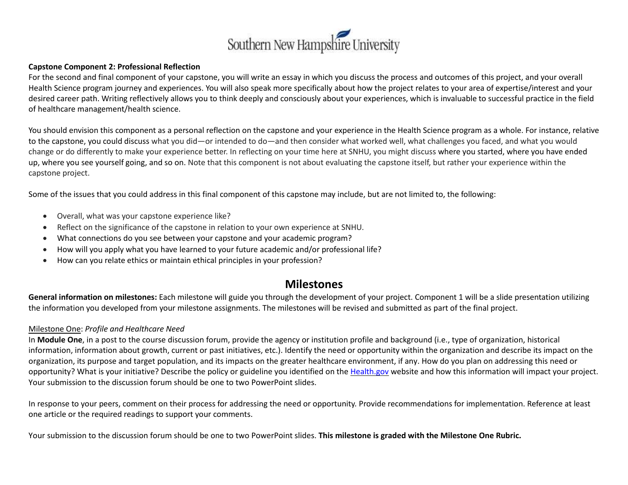

#### **Capstone Component 2: Professional Reflection**

For the second and final component of your capstone, you will write an essay in which you discuss the process and outcomes of this project, and your overall Health Science program journey and experiences. You will also speak more specifically about how the project relates to your area of expertise/interest and your desired career path. Writing reflectively allows you to think deeply and consciously about your experiences, which is invaluable to successful practice in the field of healthcare management/health science.

You should envision this component as a personal reflection on the capstone and your experience in the Health Science program as a whole. For instance, relative to the capstone, you could discuss what you did—or intended to do—and then consider what worked well, what challenges you faced, and what you would change or do differently to make your experience better. In reflecting on your time here at SNHU, you might discuss where you started, where you have ended up, where you see yourself going, and so on. Note that this component is not about evaluating the capstone itself, but rather your experience within the capstone project.

Some of the issues that you could address in this final component of this capstone may include, but are not limited to, the following:

- Overall, what was your capstone experience like?
- Reflect on the significance of the capstone in relation to your own experience at SNHU.
- What connections do you see between your capstone and your academic program?
- How will you apply what you have learned to your future academic and/or professional life?
- How can you relate ethics or maintain ethical principles in your profession?

## **Milestones**

**General information on milestones:** Each milestone will guide you through the development of your project. Component 1 will be a slide presentation utilizing the information you developed from your milestone assignments. The milestones will be revised and submitted as part of the final project.

### Milestone One: *Profile and Healthcare Need*

In **Module One**, in a post to the course discussion forum, provide the agency or institution profile and background (i.e., type of organization, historical information, information about growth, current or past initiatives, etc.). Identify the need or opportunity within the organization and describe its impact on the organization, its purpose and target population, and its impacts on the greater healthcare environment, if any. How do you plan on addressing this need or opportunity? What is your initiative? Describe the policy or guideline you identified on the [Health.gov](http://health.gov/) website and how this information will impact your project. Your submission to the discussion forum should be one to two PowerPoint slides.

In response to your peers, comment on their process for addressing the need or opportunity. Provide recommendations for implementation. Reference at least one article or the required readings to support your comments.

Your submission to the discussion forum should be one to two PowerPoint slides. **This milestone is graded with the Milestone One Rubric.**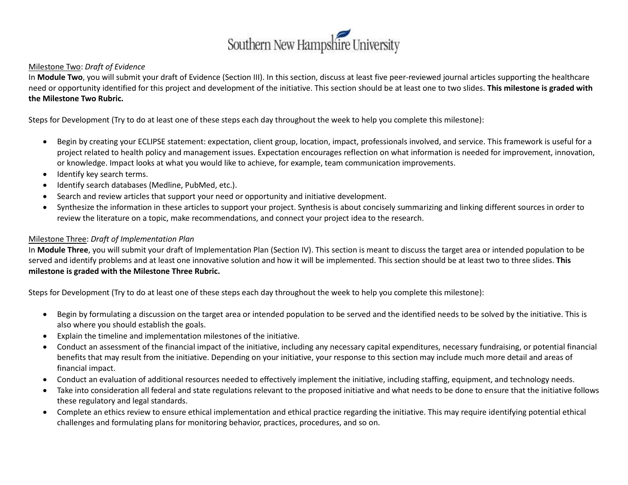

#### Milestone Two: *Draft of Evidence*

In **Module Two**, you will submit your draft of Evidence (Section III). In this section, discuss at least five peer-reviewed journal articles supporting the healthcare need or opportunity identified for this project and development of the initiative. This section should be at least one to two slides. **This milestone is graded with the Milestone Two Rubric.**

Steps for Development (Try to do at least one of these steps each day throughout the week to help you complete this milestone):

- Begin by creating your ECLIPSE statement: expectation, client group, location, impact, professionals involved, and service. This framework is useful for a project related to health policy and management issues. Expectation encourages reflection on what information is needed for improvement, innovation, or knowledge. Impact looks at what you would like to achieve, for example, team communication improvements.
- Identify key search terms.
- Identify search databases (Medline, PubMed, etc.).
- Search and review articles that support your need or opportunity and initiative development.
- Synthesize the information in these articles to support your project. Synthesis is about concisely summarizing and linking different sources in order to review the literature on a topic, make recommendations, and connect your project idea to the research.

### Milestone Three: *Draft of Implementation Plan*

In **Module Three**, you will submit your draft of Implementation Plan (Section IV). This section is meant to discuss the target area or intended population to be served and identify problems and at least one innovative solution and how it will be implemented. This section should be at least two to three slides. **This milestone is graded with the Milestone Three Rubric.**

Steps for Development (Try to do at least one of these steps each day throughout the week to help you complete this milestone):

- Begin by formulating a discussion on the target area or intended population to be served and the identified needs to be solved by the initiative. This is also where you should establish the goals.
- Explain the timeline and implementation milestones of the initiative.
- Conduct an assessment of the financial impact of the initiative, including any necessary capital expenditures, necessary fundraising, or potential financial benefits that may result from the initiative. Depending on your initiative, your response to this section may include much more detail and areas of financial impact.
- Conduct an evaluation of additional resources needed to effectively implement the initiative, including staffing, equipment, and technology needs.
- Take into consideration all federal and state regulations relevant to the proposed initiative and what needs to be done to ensure that the initiative follows these regulatory and legal standards.
- Complete an ethics review to ensure ethical implementation and ethical practice regarding the initiative. This may require identifying potential ethical challenges and formulating plans for monitoring behavior, practices, procedures, and so on.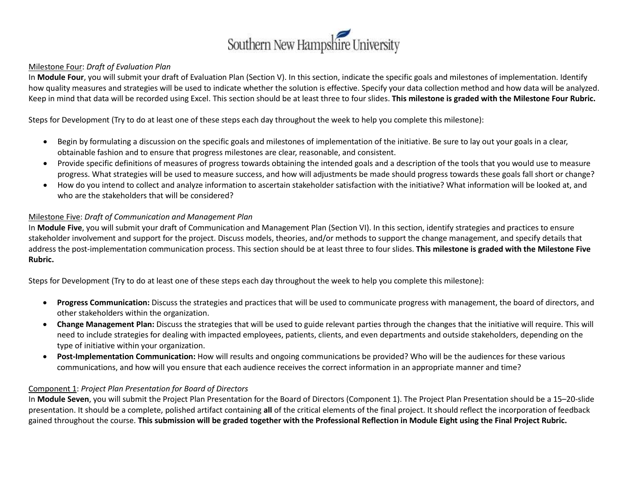

#### Milestone Four: *Draft of Evaluation Plan*

In **Module Four**, you will submit your draft of Evaluation Plan (Section V). In this section, indicate the specific goals and milestones of implementation. Identify how quality measures and strategies will be used to indicate whether the solution is effective. Specify your data collection method and how data will be analyzed. Keep in mind that data will be recorded using Excel. This section should be at least three to four slides. **This milestone is graded with the Milestone Four Rubric.**

Steps for Development (Try to do at least one of these steps each day throughout the week to help you complete this milestone):

- Begin by formulating a discussion on the specific goals and milestones of implementation of the initiative. Be sure to lay out your goals in a clear, obtainable fashion and to ensure that progress milestones are clear, reasonable, and consistent.
- Provide specific definitions of measures of progress towards obtaining the intended goals and a description of the tools that you would use to measure progress. What strategies will be used to measure success, and how will adjustments be made should progress towards these goals fall short or change?
- How do you intend to collect and analyze information to ascertain stakeholder satisfaction with the initiative? What information will be looked at, and who are the stakeholders that will be considered?

### Milestone Five: *Draft of Communication and Management Plan*

In **Module Five**, you will submit your draft of Communication and Management Plan (Section VI). In this section, identify strategies and practices to ensure stakeholder involvement and support for the project. Discuss models, theories, and/or methods to support the change management, and specify details that address the post-implementation communication process. This section should be at least three to four slides. **This milestone is graded with the Milestone Five Rubric.**

Steps for Development (Try to do at least one of these steps each day throughout the week to help you complete this milestone):

- **Progress Communication:** Discuss the strategies and practices that will be used to communicate progress with management, the board of directors, and other stakeholders within the organization.
- **Change Management Plan:** Discuss the strategies that will be used to guide relevant parties through the changes that the initiative will require. This will need to include strategies for dealing with impacted employees, patients, clients, and even departments and outside stakeholders, depending on the type of initiative within your organization.
- **Post-Implementation Communication:** How will results and ongoing communications be provided? Who will be the audiences for these various communications, and how will you ensure that each audience receives the correct information in an appropriate manner and time?

### Component 1: *Project Plan Presentation for Board of Directors*

In **Module Seven**, you will submit the Project Plan Presentation for the Board of Directors (Component 1). The Project Plan Presentation should be a 15–20-slide presentation. It should be a complete, polished artifact containing **all** of the critical elements of the final project. It should reflect the incorporation of feedback gained throughout the course. **This submission will be graded together with the Professional Reflection in Module Eight using the Final Project Rubric.**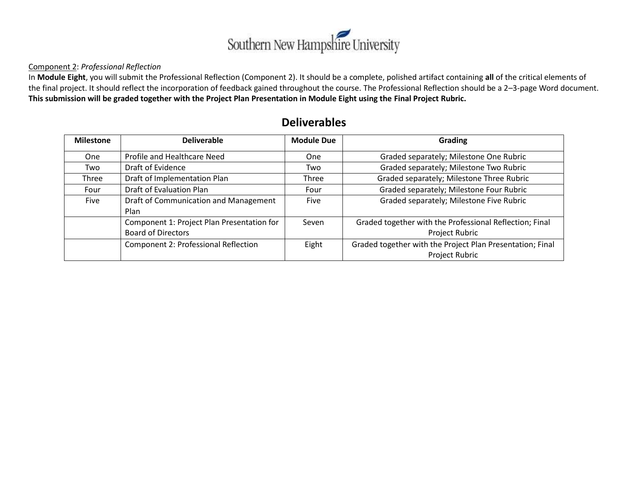

#### Component 2: *Professional Reflection*

In **Module Eight**, you will submit the Professional Reflection (Component 2). It should be a complete, polished artifact containing **all** of the critical elements of the final project. It should reflect the incorporation of feedback gained throughout the course. The Professional Reflection should be a 2–3-page Word document. **This submission will be graded together with the Project Plan Presentation in Module Eight using the Final Project Rubric.**

| <b>Milestone</b> | <b>Deliverable</b>                         | <b>Module Due</b> | Grading                                                   |
|------------------|--------------------------------------------|-------------------|-----------------------------------------------------------|
| <b>One</b>       | Profile and Healthcare Need                | <b>One</b>        | Graded separately; Milestone One Rubric                   |
| Two              | Draft of Evidence                          | Two               | Graded separately; Milestone Two Rubric                   |
| Three            | Draft of Implementation Plan               | Three             | Graded separately; Milestone Three Rubric                 |
| Four             | Draft of Evaluation Plan                   | Four              | Graded separately; Milestone Four Rubric                  |
| Five             | Draft of Communication and Management      | Five              | Graded separately; Milestone Five Rubric                  |
|                  | Plan                                       |                   |                                                           |
|                  | Component 1: Project Plan Presentation for | Seven             | Graded together with the Professional Reflection; Final   |
|                  | <b>Board of Directors</b>                  |                   | Project Rubric                                            |
|                  | Component 2: Professional Reflection       | Eight             | Graded together with the Project Plan Presentation; Final |
|                  |                                            |                   | Project Rubric                                            |

# **Deliverables**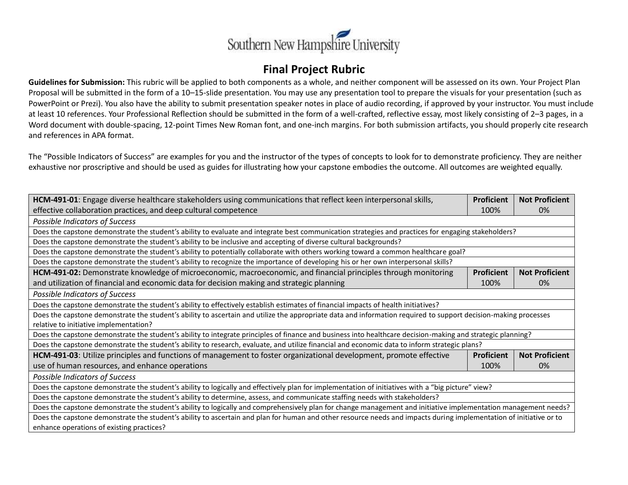

# **Final Project Rubric**

**Guidelines for Submission:** This rubric will be applied to both components as a whole, and neither component will be assessed on its own. Your Project Plan Proposal will be submitted in the form of a 10–15-slide presentation. You may use any presentation tool to prepare the visuals for your presentation (such as PowerPoint or Prezi). You also have the ability to submit presentation speaker notes in place of audio recording, if approved by your instructor. You must include at least 10 references. Your Professional Reflection should be submitted in the form of a well-crafted, reflective essay, most likely consisting of 2–3 pages, in a Word document with double-spacing, 12-point Times New Roman font, and one-inch margins. For both submission artifacts, you should properly cite research and references in APA format.

The "Possible Indicators of Success" are examples for you and the instructor of the types of concepts to look for to demonstrate proficiency. They are neither exhaustive nor proscriptive and should be used as guides for illustrating how your capstone embodies the outcome. All outcomes are weighted equally.

| HCM-491-01: Engage diverse healthcare stakeholders using communications that reflect keen interpersonal skills,                                                    |                   | <b>Not Proficient</b> |  |  |  |
|--------------------------------------------------------------------------------------------------------------------------------------------------------------------|-------------------|-----------------------|--|--|--|
| effective collaboration practices, and deep cultural competence                                                                                                    |                   | $0\%$                 |  |  |  |
| Possible Indicators of Success                                                                                                                                     |                   |                       |  |  |  |
| Does the capstone demonstrate the student's ability to evaluate and integrate best communication strategies and practices for engaging stakeholders?               |                   |                       |  |  |  |
| Does the capstone demonstrate the student's ability to be inclusive and accepting of diverse cultural backgrounds?                                                 |                   |                       |  |  |  |
| Does the capstone demonstrate the student's ability to potentially collaborate with others working toward a common healthcare goal?                                |                   |                       |  |  |  |
| Does the capstone demonstrate the student's ability to recognize the importance of developing his or her own interpersonal skills?                                 |                   |                       |  |  |  |
| HCM-491-02: Demonstrate knowledge of microeconomic, macroeconomic, and financial principles through monitoring                                                     | <b>Proficient</b> | <b>Not Proficient</b> |  |  |  |
| and utilization of financial and economic data for decision making and strategic planning                                                                          | 100%              | 0%                    |  |  |  |
| Possible Indicators of Success                                                                                                                                     |                   |                       |  |  |  |
| Does the capstone demonstrate the student's ability to effectively establish estimates of financial impacts of health initiatives?                                 |                   |                       |  |  |  |
| Does the capstone demonstrate the student's ability to ascertain and utilize the appropriate data and information required to support decision-making processes    |                   |                       |  |  |  |
| relative to initiative implementation?                                                                                                                             |                   |                       |  |  |  |
| Does the capstone demonstrate the student's ability to integrate principles of finance and business into healthcare decision-making and strategic planning?        |                   |                       |  |  |  |
| Does the capstone demonstrate the student's ability to research, evaluate, and utilize financial and economic data to inform strategic plans?                      |                   |                       |  |  |  |
| HCM-491-03: Utilize principles and functions of management to foster organizational development, promote effective                                                 | <b>Proficient</b> | <b>Not Proficient</b> |  |  |  |
| use of human resources, and enhance operations                                                                                                                     | 100%              | 0%                    |  |  |  |
| Possible Indicators of Success                                                                                                                                     |                   |                       |  |  |  |
| Does the capstone demonstrate the student's ability to logically and effectively plan for implementation of initiatives with a "big picture" view?                 |                   |                       |  |  |  |
| Does the capstone demonstrate the student's ability to determine, assess, and communicate staffing needs with stakeholders?                                        |                   |                       |  |  |  |
| Does the capstone demonstrate the student's ability to logically and comprehensively plan for change management and initiative implementation management needs?    |                   |                       |  |  |  |
| Does the capstone demonstrate the student's ability to ascertain and plan for human and other resource needs and impacts during implementation of initiative or to |                   |                       |  |  |  |
| enhance operations of existing practices?                                                                                                                          |                   |                       |  |  |  |